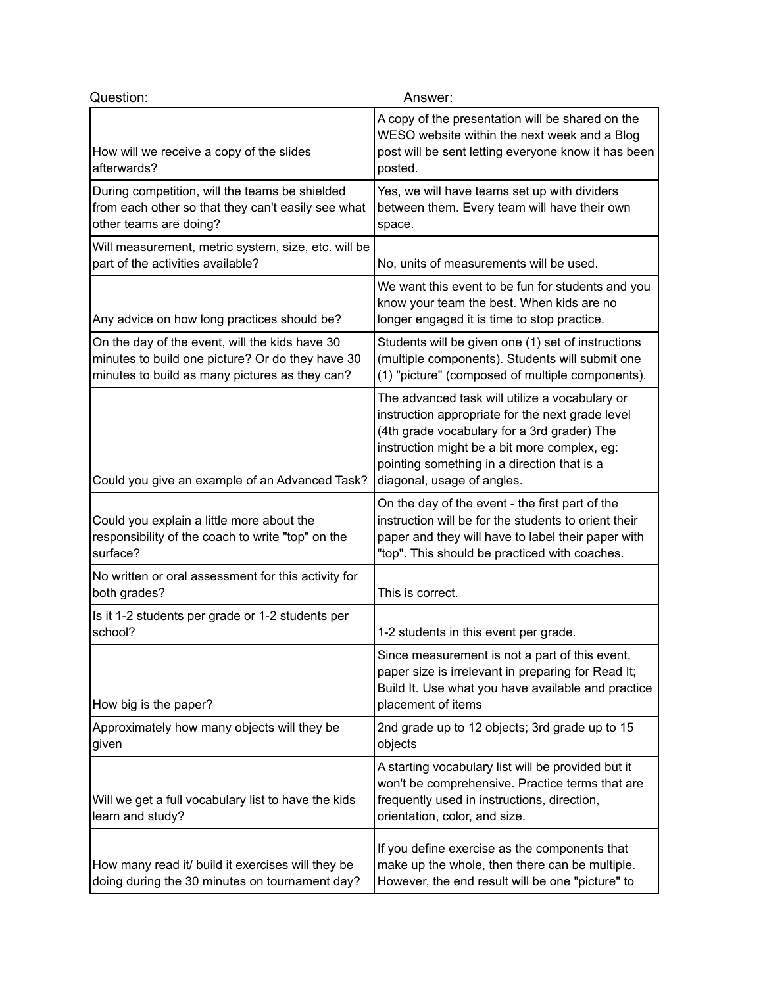| Question:                                                                                                                                            | Answer:                                                                                                                                                                                                                                                                        |
|------------------------------------------------------------------------------------------------------------------------------------------------------|--------------------------------------------------------------------------------------------------------------------------------------------------------------------------------------------------------------------------------------------------------------------------------|
| How will we receive a copy of the slides<br>afterwards?                                                                                              | A copy of the presentation will be shared on the<br>WESO website within the next week and a Blog<br>post will be sent letting everyone know it has been<br>posted.                                                                                                             |
| During competition, will the teams be shielded<br>from each other so that they can't easily see what<br>other teams are doing?                       | Yes, we will have teams set up with dividers<br>between them. Every team will have their own<br>space.                                                                                                                                                                         |
| Will measurement, metric system, size, etc. will be<br>part of the activities available?                                                             | No, units of measurements will be used.                                                                                                                                                                                                                                        |
| Any advice on how long practices should be?                                                                                                          | We want this event to be fun for students and you<br>know your team the best. When kids are no<br>longer engaged it is time to stop practice.                                                                                                                                  |
| On the day of the event, will the kids have 30<br>minutes to build one picture? Or do they have 30<br>minutes to build as many pictures as they can? | Students will be given one (1) set of instructions<br>(multiple components). Students will submit one<br>(1) "picture" (composed of multiple components).                                                                                                                      |
| Could you give an example of an Advanced Task?                                                                                                       | The advanced task will utilize a vocabulary or<br>instruction appropriate for the next grade level<br>(4th grade vocabulary for a 3rd grader) The<br>instruction might be a bit more complex, eg:<br>pointing something in a direction that is a<br>diagonal, usage of angles. |
| Could you explain a little more about the<br>responsibility of the coach to write "top" on the<br>surface?                                           | On the day of the event - the first part of the<br>instruction will be for the students to orient their<br>paper and they will have to label their paper with<br>"top". This should be practiced with coaches.                                                                 |
| No written or oral assessment for this activity for<br>both grades?                                                                                  | This is correct.                                                                                                                                                                                                                                                               |
| Is it 1-2 students per grade or 1-2 students per<br>school?                                                                                          | 1-2 students in this event per grade.                                                                                                                                                                                                                                          |
| How big is the paper?                                                                                                                                | Since measurement is not a part of this event,<br>paper size is irrelevant in preparing for Read It;<br>Build It. Use what you have available and practice<br>placement of items                                                                                               |
| Approximately how many objects will they be<br>given                                                                                                 | 2nd grade up to 12 objects; 3rd grade up to 15<br>objects                                                                                                                                                                                                                      |
| Will we get a full vocabulary list to have the kids<br>learn and study?                                                                              | A starting vocabulary list will be provided but it<br>won't be comprehensive. Practice terms that are<br>frequently used in instructions, direction,<br>orientation, color, and size.                                                                                          |
| How many read it/ build it exercises will they be<br>doing during the 30 minutes on tournament day?                                                  | If you define exercise as the components that<br>make up the whole, then there can be multiple.<br>However, the end result will be one "picture" to                                                                                                                            |